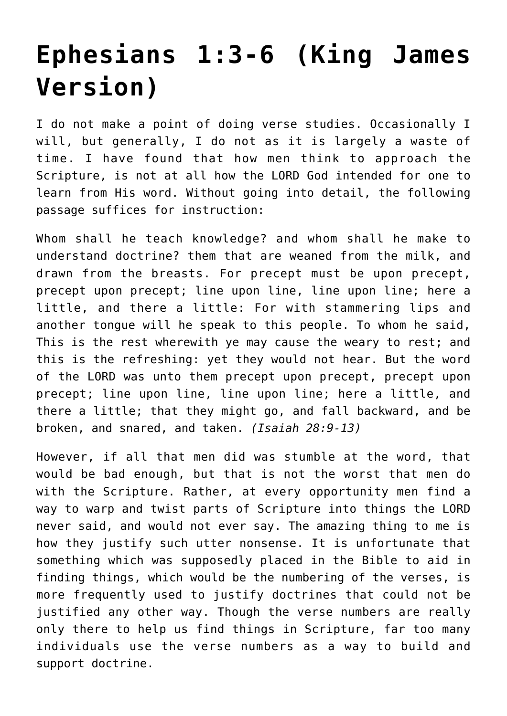# **[Ephesians 1:3-6 \(King James](http://reproachofmen.org/apologetics/ephesians-13-6-king-james-version/) [Version\)](http://reproachofmen.org/apologetics/ephesians-13-6-king-james-version/)**

I do not make a point of doing verse studies. Occasionally I will, but generally, I do not as it is largely a waste of time. I have found that how men think to approach the Scripture, is not at all how the LORD God intended for one to learn from His word. Without going into detail, the following passage suffices for instruction:

Whom shall he teach knowledge? and whom shall he make to understand doctrine? them that are weaned from the milk, and drawn from the breasts. For precept must be upon precept, precept upon precept; line upon line, line upon line; here a little, and there a little: For with stammering lips and another tongue will he speak to this people. To whom he said, This is the rest wherewith ye may cause the weary to rest; and this is the refreshing: yet they would not hear. But the word of the LORD was unto them precept upon precept, precept upon precept; line upon line, line upon line; here a little, and there a little; that they might go, and fall backward, and be broken, and snared, and taken. *(Isaiah 28:9-13)*

However, if all that men did was stumble at the word, that would be bad enough, but that is not the worst that men do with the Scripture. Rather, at every opportunity men find a way to warp and twist parts of Scripture into things the LORD never said, and would not ever say. The amazing thing to me is how they justify such utter nonsense. It is unfortunate that something which was supposedly placed in the Bible to aid in finding things, which would be the numbering of the verses, is more frequently used to justify doctrines that could not be justified any other way. Though the verse numbers are really only there to help us find things in Scripture, far too many individuals use the verse numbers as a way to build and support doctrine.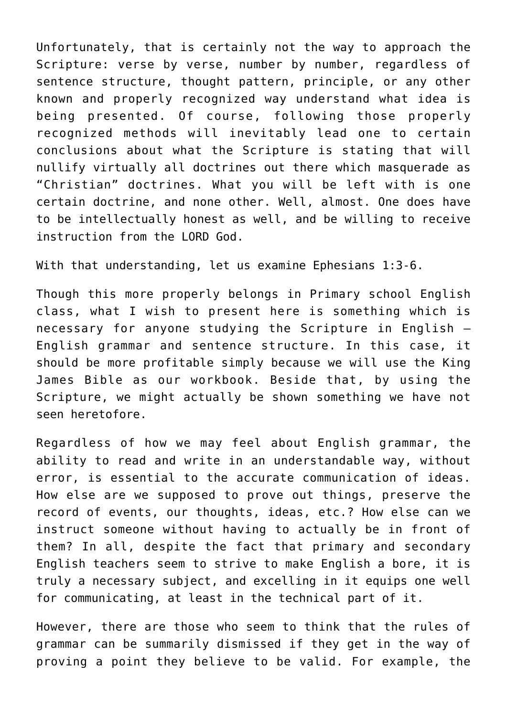Unfortunately, that is certainly not the way to approach the Scripture: verse by verse, number by number, regardless of sentence structure, thought pattern, principle, or any other known and properly recognized way understand what idea is being presented. Of course, following those properly recognized methods will inevitably lead one to certain conclusions about what the Scripture is stating that will nullify virtually all doctrines out there which masquerade as "Christian" doctrines. What you will be left with is one certain doctrine, and none other. Well, almost. One does have to be intellectually honest as well, and be willing to receive instruction from the LORD God.

With that understanding, let us examine Ephesians 1:3-6.

Though this more properly belongs in Primary school English class, what I wish to present here is something which is necessary for anyone studying the Scripture in English — English grammar and sentence structure. In this case, it should be more profitable simply because we will use the King James Bible as our workbook. Beside that, by using the Scripture, we might actually be shown something we have not seen heretofore.

Regardless of how we may feel about English grammar, the ability to read and write in an understandable way, without error, is essential to the accurate communication of ideas. How else are we supposed to prove out things, preserve the record of events, our thoughts, ideas, etc.? How else can we instruct someone without having to actually be in front of them? In all, despite the fact that primary and secondary English teachers seem to strive to make English a bore, it is truly a necessary subject, and excelling in it equips one well for communicating, at least in the technical part of it.

However, there are those who seem to think that the rules of grammar can be summarily dismissed if they get in the way of proving a point they believe to be valid. For example, the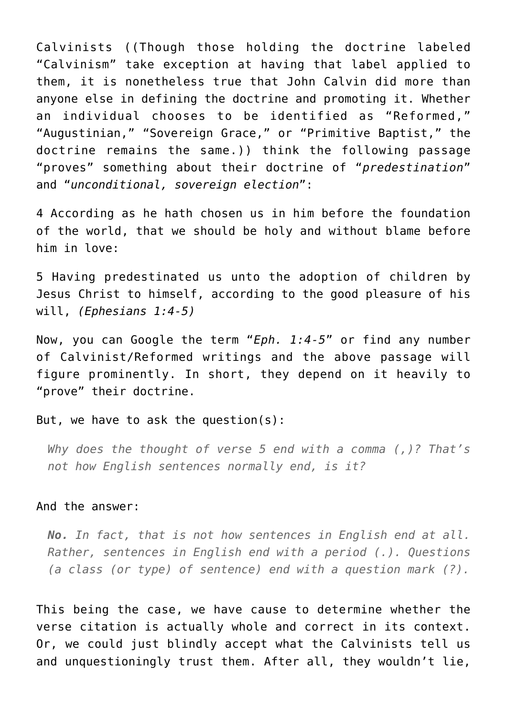Calvinists ((Though those holding the doctrine labeled "Calvinism" take exception at having that label applied to them, it is nonetheless true that John Calvin did more than anyone else in defining the doctrine and promoting it. Whether an individual chooses to be identified as "Reformed," "Augustinian," "Sovereign Grace," or "Primitive Baptist," the doctrine remains the same.)) think the following passage "proves" something about their doctrine of "*predestination*" and "*unconditional, sovereign election*":

4 According as he hath chosen us in him before the foundation of the world, that we should be holy and without blame before him in love:

5 Having predestinated us unto the adoption of children by Jesus Christ to himself, according to the good pleasure of his will, *(Ephesians 1:4-5)*

Now, you can Google the term "*Eph. 1:4-5*" or find any number of Calvinist/Reformed writings and the above passage will figure prominently. In short, they depend on it heavily to "prove" their doctrine.

#### But, we have to ask the question(s):

*Why does the thought of verse 5 end with a comma (,)? That's not how English sentences normally end, is it?*

#### And the answer:

*No. In fact, that is not how sentences in English end at all. Rather, sentences in English end with a period (.). Questions (a class (or type) of sentence) end with a question mark (?).*

This being the case, we have cause to determine whether the verse citation is actually whole and correct in its context. Or, we could just blindly accept what the Calvinists tell us and unquestioningly trust them. After all, they wouldn't lie,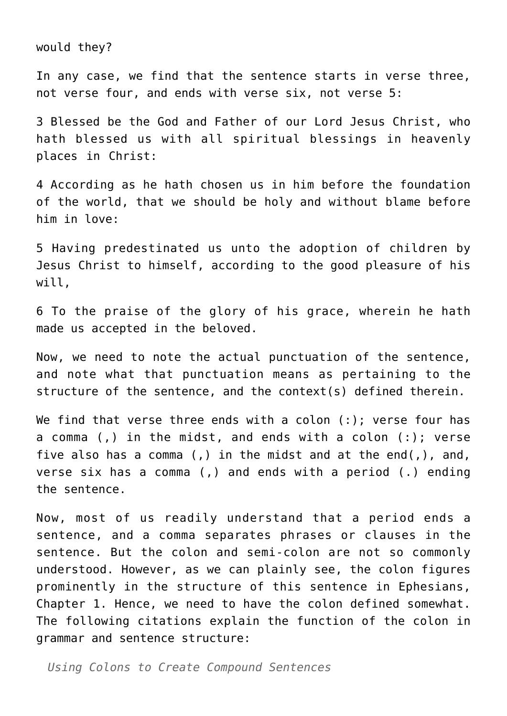would they?

In any case, we find that the sentence starts in verse three, not verse four, and ends with verse six, not verse 5:

3 Blessed be the God and Father of our Lord Jesus Christ, who hath blessed us with all spiritual blessings in heavenly places in Christ:

4 According as he hath chosen us in him before the foundation of the world, that we should be holy and without blame before him in love:

5 Having predestinated us unto the adoption of children by Jesus Christ to himself, according to the good pleasure of his will,

6 To the praise of the glory of his grace, wherein he hath made us accepted in the beloved.

Now, we need to note the actual punctuation of the sentence, and note what that punctuation means as pertaining to the structure of the sentence, and the context(s) defined therein.

We find that verse three ends with a colon (:); verse four has a comma (,) in the midst, and ends with a colon (:); verse five also has a comma (,) in the midst and at the end(,), and, verse six has a comma (,) and ends with a period (.) ending the sentence.

Now, most of us readily understand that a period ends a sentence, and a comma separates phrases or clauses in the sentence. But the colon and semi-colon are not so commonly understood. However, as we can plainly see, the colon figures prominently in the structure of this sentence in Ephesians, Chapter 1. Hence, we need to have the colon defined somewhat. The following citations explain the function of the colon in grammar and sentence structure:

*Using Colons to Create Compound Sentences*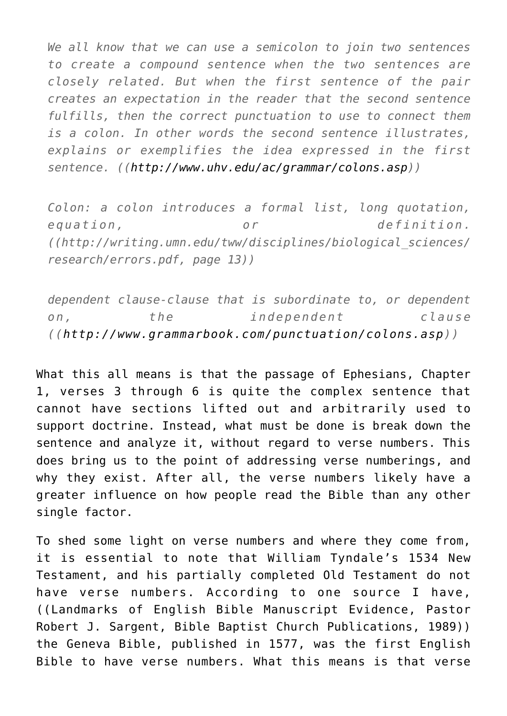*We all know that we can use a semicolon to join two sentences to create a compound sentence when the two sentences are closely related. But when the first sentence of the pair creates an expectation in the reader that the second sentence fulfills, then the correct punctuation to use to connect them is a colon. In other words the second sentence illustrates, explains or exemplifies the idea expressed in the first sentence. (([http://www.uhv.edu/ac/grammar/colons.asp\)](http://www.uhv.edu/ac/grammar/colons.aspx))*

*Colon: a colon introduces a formal list, long quotation, equation, or definition. ((http://writing.umn.edu/tww/disciplines/biological\_sciences/ research/errors.pdf, page 13))*

*dependent clause-clause that is subordinate to, or dependent on, the independent clause ((<http://www.grammarbook.com/punctuation/colons.asp>))*

What this all means is that the passage of Ephesians, Chapter 1, verses 3 through 6 is quite the complex sentence that cannot have sections lifted out and arbitrarily used to support doctrine. Instead, what must be done is break down the sentence and analyze it, without regard to verse numbers. This does bring us to the point of addressing verse numberings, and why they exist. After all, the verse numbers likely have a greater influence on how people read the Bible than any other single factor.

To shed some light on verse numbers and where they come from, it is essential to note that William Tyndale's 1534 New Testament, and his partially completed Old Testament do not have verse numbers. According to one source I have, (([Landmarks of English Bible Manuscript Evidence](http://www.baptistpublications.org/mm5/merchant.mvc?Screen=PROD&Store_Code=BBCP&Product_Code=I-MSS&Category_Code=BIC), Pastor Robert J. Sargent, Bible Baptist Church Publications, 1989)) the Geneva Bible, published in 1577, was the first English Bible to have verse numbers. What this means is that verse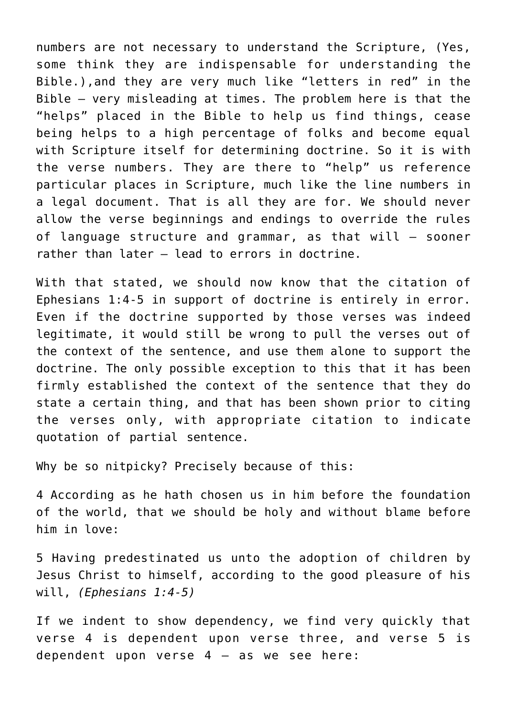numbers are not necessary to understand the Scripture, (Yes, some think they are indispensable for understanding the Bible.),and they are very much like "letters in red" in the Bible — very misleading at times. The problem here is that the "helps" placed in the Bible to help us find things, cease being helps to a high percentage of folks and become equal with Scripture itself for determining doctrine. So it is with the verse numbers. They are there to "help" us reference particular places in Scripture, much like the line numbers in a legal document. That is all they are for. We should never allow the verse beginnings and endings to override the rules of language structure and grammar, as that will — sooner rather than later — lead to errors in doctrine.

With that stated, we should now know that the citation of Ephesians 1:4-5 in support of doctrine is entirely in error. Even if the doctrine supported by those verses was indeed legitimate, it would still be wrong to pull the verses out of the context of the sentence, and use them alone to support the doctrine. The only possible exception to this that it has been firmly established the context of the sentence that they do state a certain thing, and that has been shown prior to citing the verses only, with appropriate citation to indicate quotation of partial sentence.

Why be so nitpicky? Precisely because of this:

4 According as he hath chosen us in him before the foundation of the world, that we should be holy and without blame before him in love:

5 Having predestinated us unto the adoption of children by Jesus Christ to himself, according to the good pleasure of his will, *(Ephesians 1:4-5)*

If we indent to show dependency, we find very quickly that verse 4 is dependent upon verse three, and verse 5 is dependent upon verse  $4 - as$  we see here: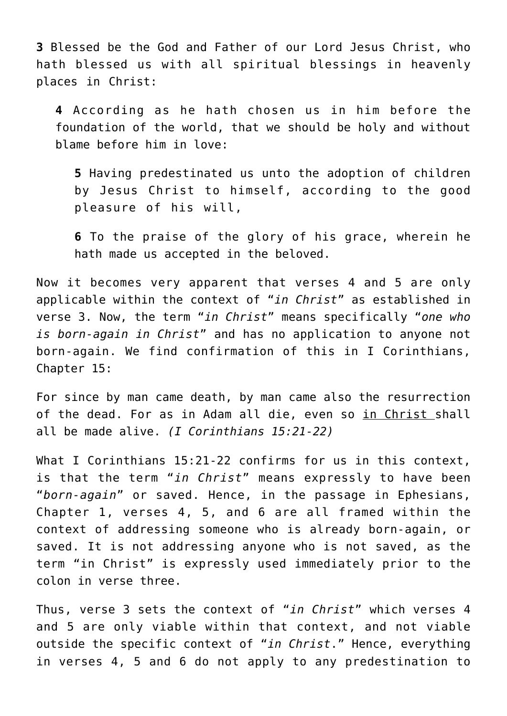**3** Blessed be the God and Father of our Lord Jesus Christ, who hath blessed us with all spiritual blessings in heavenly places in Christ:

**4** According as he hath chosen us in him before the foundation of the world, that we should be holy and without blame before him in love:

**5** Having predestinated us unto the adoption of children by Jesus Christ to himself, according to the good pleasure of his will,

**6** To the praise of the glory of his grace, wherein he hath made us accepted in the beloved.

Now it becomes very apparent that verses 4 and 5 are only applicable within the context of "*in Christ*" as established in verse 3. Now, the term "*in Christ*" means specifically "*one who is born-again in Christ*" and has no application to anyone not born-again. We find confirmation of this in I Corinthians, Chapter 15:

For since by man came death, by man came also the resurrection of the dead. For as in Adam all die, even so in Christ shall all be made alive. *(I Corinthians 15:21-22)*

What I Corinthians 15:21-22 confirms for us in this context, is that the term "*in Christ*" means expressly to have been "*born-again*" or saved. Hence, in the passage in Ephesians, Chapter 1, verses 4, 5, and 6 are all framed within the context of addressing someone who is already born-again, or saved. It is not addressing anyone who is not saved, as the term "in Christ" is expressly used immediately prior to the colon in verse three.

Thus, verse 3 sets the context of "*in Christ*" which verses 4 and 5 are only viable within that context, and not viable outside the specific context of "*in Christ*." Hence, everything in verses 4, 5 and 6 do not apply to any predestination to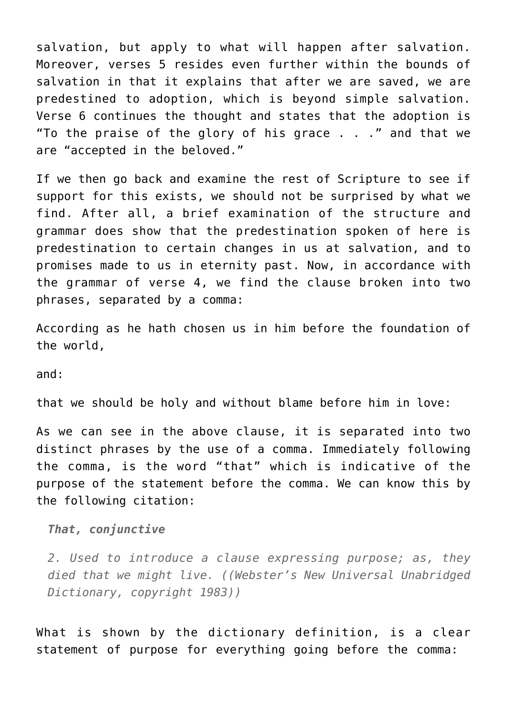salvation, but apply to what will happen after salvation. Moreover, verses 5 resides even further within the bounds of salvation in that it explains that after we are saved, we are predestined to adoption, which is beyond simple salvation. Verse 6 continues the thought and states that the adoption is "To the praise of the glory of his grace . . ." and that we are "accepted in the beloved."

If we then go back and examine the rest of Scripture to see if support for this exists, we should not be surprised by what we find. After all, a brief examination of the structure and grammar does show that the predestination spoken of here is predestination to certain changes in us at salvation, and to promises made to us in eternity past. Now, in accordance with the grammar of verse 4, we find the clause broken into two phrases, separated by a comma:

According as he hath chosen us in him before the foundation of the world,

and:

that we should be holy and without blame before him in love:

As we can see in the above clause, it is separated into two distinct phrases by the use of a comma. Immediately following the comma, is the word "that" which is indicative of the purpose of the statement before the comma. We can know this by the following citation:

*That, conjunctive*

*2. Used to introduce a clause expressing purpose; as, they died that we might live. ((Webster's New Universal Unabridged Dictionary, copyright 1983))*

What is shown by the dictionary definition, is a clear statement of purpose for everything going before the comma: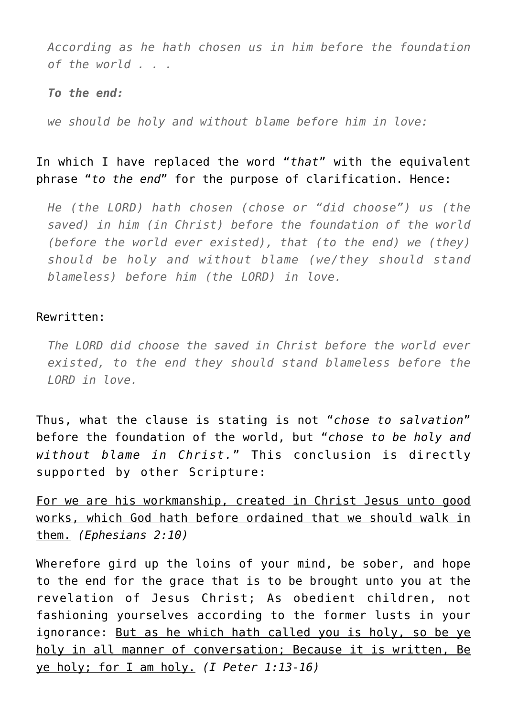*According as he hath chosen us in him before the foundation of the world . . .*

### *To the end:*

*we should be holy and without blame before him in love:*

## In which I have replaced the word "*that*" with the equivalent phrase "*to the end*" for the purpose of clarification. Hence:

*He (the LORD) hath chosen (chose or "did choose") us (the saved) in him (in Christ) before the foundation of the world (before the world ever existed), that (to the end) we (they) should be holy and without blame (we/they should stand blameless) before him (the LORD) in love.*

### Rewritten:

*The LORD did choose the saved in Christ before the world ever existed, to the end they should stand blameless before the LORD in love.*

Thus, what the clause is stating is not "*chose to salvation*" before the foundation of the world, but "*chose to be holy and without blame in Christ.*" This conclusion is directly supported by other Scripture:

For we are his workmanship, created in Christ Jesus unto good works, which God hath before ordained that we should walk in them. *(Ephesians 2:10)*

Wherefore gird up the loins of your mind, be sober, and hope to the end for the grace that is to be brought unto you at the revelation of Jesus Christ; As obedient children, not fashioning yourselves according to the former lusts in your ignorance: But as he which hath called you is holy, so be ye holy in all manner of conversation; Because it is written, Be ye holy; for I am holy. *(I Peter 1:13-16)*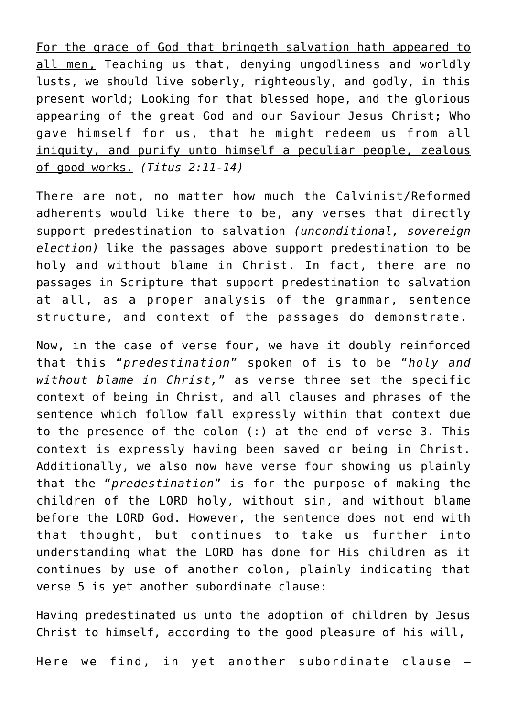For the grace of God that bringeth salvation hath appeared to all men, Teaching us that, denying ungodliness and worldly lusts, we should live soberly, righteously, and godly, in this present world; Looking for that blessed hope, and the glorious appearing of the great God and our Saviour Jesus Christ; Who gave himself for us, that he might redeem us from all iniquity, and purify unto himself a peculiar people, zealous of good works. *(Titus 2:11-14)*

There are not, no matter how much the Calvinist/Reformed adherents would like there to be, any verses that directly support predestination to salvation *(unconditional, sovereign election)* like the passages above support predestination to be holy and without blame in Christ. In fact, there are no passages in Scripture that support predestination to salvation at all, as a proper analysis of the grammar, sentence structure, and context of the passages do demonstrate.

Now, in the case of verse four, we have it doubly reinforced that this "*predestination*" spoken of is to be "*holy and without blame in Christ,*" as verse three set the specific context of being in Christ, and all clauses and phrases of the sentence which follow fall expressly within that context due to the presence of the colon (:) at the end of verse 3. This context is expressly having been saved or being in Christ. Additionally, we also now have verse four showing us plainly that the "*predestination*" is for the purpose of making the children of the LORD holy, without sin, and without blame before the LORD God. However, the sentence does not end with that thought, but continues to take us further into understanding what the LORD has done for His children as it continues by use of another colon, plainly indicating that verse 5 is yet another subordinate clause:

Having predestinated us unto the adoption of children by Jesus Christ to himself, according to the good pleasure of his will,

Here we find, in yet another subordinate clause —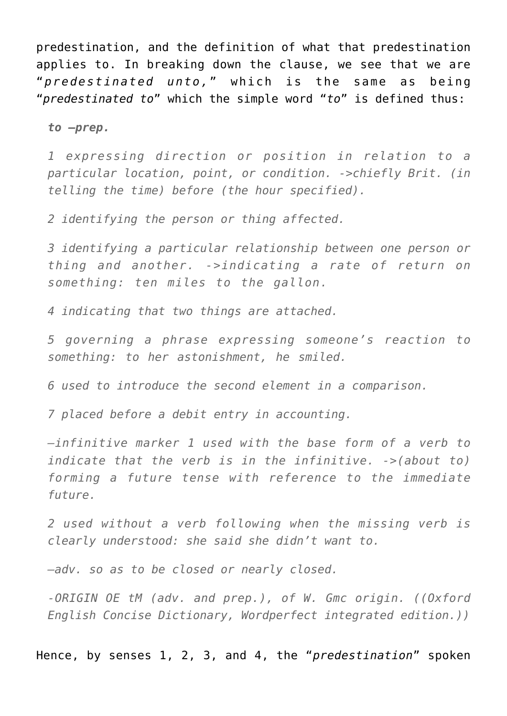predestination, and the definition of what that predestination applies to. In breaking down the clause, we see that we are "*predestinated unto,*" which is the same as being "*predestinated to*" which the simple word "*to*" is defined thus:

*to —prep.*

*1 expressing direction or position in relation to a particular location, point, or condition. ->chiefly Brit. (in telling the time) before (the hour specified).*

*2 identifying the person or thing affected.*

*3 identifying a particular relationship between one person or thing and another. ->indicating a rate of return on something: ten miles to the gallon.*

*4 indicating that two things are attached.*

*5 governing a phrase expressing someone's reaction to something: to her astonishment, he smiled.*

*6 used to introduce the second element in a comparison.*

*7 placed before a debit entry in accounting.*

*—infinitive marker 1 used with the base form of a verb to indicate that the verb is in the infinitive. ->(about to) forming a future tense with reference to the immediate future.*

*2 used without a verb following when the missing verb is clearly understood: she said she didn't want to.*

*—adv. so as to be closed or nearly closed.*

*-ORIGIN OE tM (adv. and prep.), of W. Gmc origin. ((Oxford English Concise Dictionary, Wordperfect integrated edition.))*

Hence, by senses 1, 2, 3, and 4, the "*predestination*" spoken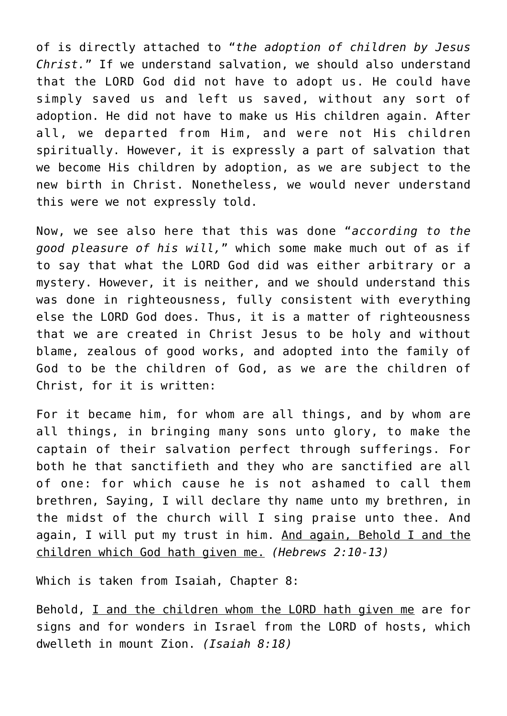of is directly attached to "*the adoption of children by Jesus Christ.*" If we understand salvation, we should also understand that the LORD God did not have to adopt us. He could have simply saved us and left us saved, without any sort of adoption. He did not have to make us His children again. After all, we departed from Him, and were not His children spiritually. However, it is expressly a part of salvation that we become His children by adoption, as we are subject to the new birth in Christ. Nonetheless, we would never understand this were we not expressly told.

Now, we see also here that this was done "*according to the good pleasure of his will,*" which some make much out of as if to say that what the LORD God did was either arbitrary or a mystery. However, it is neither, and we should understand this was done in righteousness, fully consistent with everything else the LORD God does. Thus, it is a matter of righteousness that we are created in Christ Jesus to be holy and without blame, zealous of good works, and adopted into the family of God to be the children of God, as we are the children of Christ, for it is written:

For it became him, for whom are all things, and by whom are all things, in bringing many sons unto glory, to make the captain of their salvation perfect through sufferings. For both he that sanctifieth and they who are sanctified are all of one: for which cause he is not ashamed to call them brethren, Saying, I will declare thy name unto my brethren, in the midst of the church will I sing praise unto thee. And again, I will put my trust in him. And again, Behold I and the children which God hath given me. *(Hebrews 2:10-13)*

Which is taken from Isaiah, Chapter 8:

Behold, I and the children whom the LORD hath given me are for signs and for wonders in Israel from the LORD of hosts, which dwelleth in mount Zion. *(Isaiah 8:18)*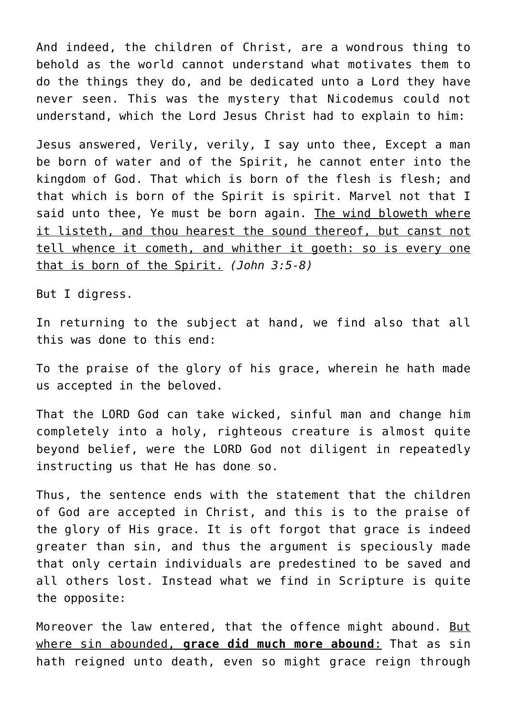And indeed, the children of Christ, are a wondrous thing to behold as the world cannot understand what motivates them to do the things they do, and be dedicated unto a Lord they have never seen. This was the mystery that Nicodemus could not understand, which the Lord Jesus Christ had to explain to him:

Jesus answered, Verily, verily, I say unto thee, Except a man be born of water and of the Spirit, he cannot enter into the kingdom of God. That which is born of the flesh is flesh; and that which is born of the Spirit is spirit. Marvel not that I said unto thee, Ye must be born again. The wind bloweth where it listeth, and thou hearest the sound thereof, but canst not tell whence it cometh, and whither it goeth: so is every one that is born of the Spirit. *(John 3:5-8)*

But I digress.

In returning to the subject at hand, we find also that all this was done to this end:

To the praise of the glory of his grace, wherein he hath made us accepted in the beloved.

That the LORD God can take wicked, sinful man and change him completely into a holy, righteous creature is almost quite beyond belief, were the LORD God not diligent in repeatedly instructing us that He has done so.

Thus, the sentence ends with the statement that the children of God are accepted in Christ, and this is to the praise of the glory of His grace. It is oft forgot that grace is indeed greater than sin, and thus the argument is speciously made that only certain individuals are predestined to be saved and all others lost. Instead what we find in Scripture is quite the opposite:

Moreover the law entered, that the offence might abound. But where sin abounded, **grace did much more abound**: That as sin hath reigned unto death, even so might grace reign through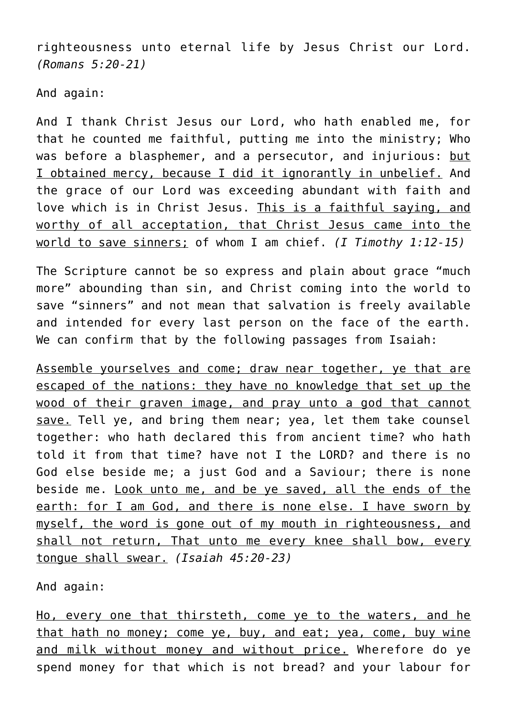righteousness unto eternal life by Jesus Christ our Lord. *(Romans 5:20-21)*

And again:

And I thank Christ Jesus our Lord, who hath enabled me, for that he counted me faithful, putting me into the ministry; Who was before a blasphemer, and a persecutor, and injurious: but I obtained mercy, because I did it ignorantly in unbelief. And the grace of our Lord was exceeding abundant with faith and love which is in Christ Jesus. This is a faithful saying, and worthy of all acceptation, that Christ Jesus came into the world to save sinners; of whom I am chief. *(I Timothy 1:12-15)*

The Scripture cannot be so express and plain about grace "much more" abounding than sin, and Christ coming into the world to save "sinners" and not mean that salvation is freely available and intended for every last person on the face of the earth. We can confirm that by the following passages from Isaiah:

Assemble yourselves and come; draw near together, ye that are escaped of the nations: they have no knowledge that set up the wood of their graven image, and pray unto a god that cannot save. Tell ye, and bring them near; yea, let them take counsel together: who hath declared this from ancient time? who hath told it from that time? have not I the LORD? and there is no God else beside me; a just God and a Saviour; there is none beside me. Look unto me, and be ye saved, all the ends of the earth: for I am God, and there is none else. I have sworn by myself, the word is gone out of my mouth in righteousness, and shall not return, That unto me every knee shall bow, every tongue shall swear. *(Isaiah 45:20-23)*

And again:

Ho, every one that thirsteth, come ye to the waters, and he that hath no money; come ye, buy, and eat; yea, come, buy wine and milk without money and without price. Wherefore do ye spend money for that which is not bread? and your labour for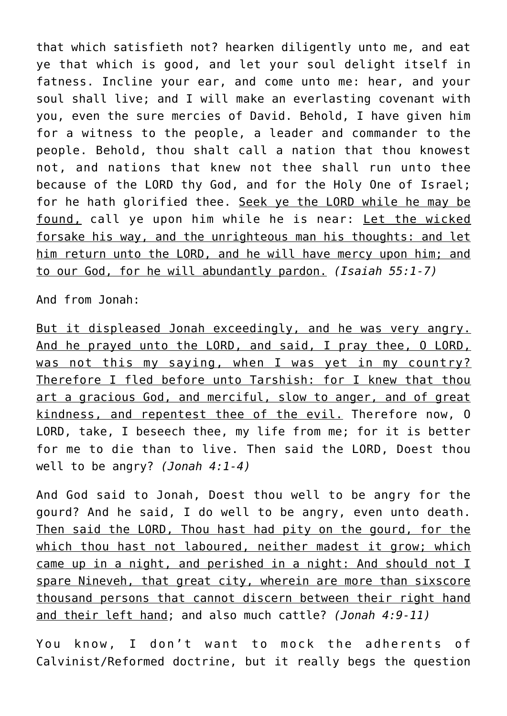that which satisfieth not? hearken diligently unto me, and eat ye that which is good, and let your soul delight itself in fatness. Incline your ear, and come unto me: hear, and your soul shall live; and I will make an everlasting covenant with you, even the sure mercies of David. Behold, I have given him for a witness to the people, a leader and commander to the people. Behold, thou shalt call a nation that thou knowest not, and nations that knew not thee shall run unto thee because of the LORD thy God, and for the Holy One of Israel; for he hath glorified thee. Seek ye the LORD while he may be found, call ye upon him while he is near: Let the wicked forsake his way, and the unrighteous man his thoughts: and let him return unto the LORD, and he will have mercy upon him; and to our God, for he will abundantly pardon. *(Isaiah 55:1-7)*

And from Jonah:

But it displeased Jonah exceedingly, and he was very angry. And he prayed unto the LORD, and said, I pray thee, O LORD, was not this my saying, when I was yet in my country? Therefore I fled before unto Tarshish: for I knew that thou art a gracious God, and merciful, slow to anger, and of great kindness, and repentest thee of the evil. Therefore now, O LORD, take, I beseech thee, my life from me; for it is better for me to die than to live. Then said the LORD, Doest thou well to be angry? *(Jonah 4:1-4)*

And God said to Jonah, Doest thou well to be angry for the gourd? And he said, I do well to be angry, even unto death. Then said the LORD, Thou hast had pity on the gourd, for the which thou hast not laboured, neither madest it grow; which came up in a night, and perished in a night: And should not I spare Nineveh, that great city, wherein are more than sixscore thousand persons that cannot discern between their right hand and their left hand; and also much cattle? *(Jonah 4:9-11)*

You know, I don't want to mock the adherents of Calvinist/Reformed doctrine, but it really begs the question